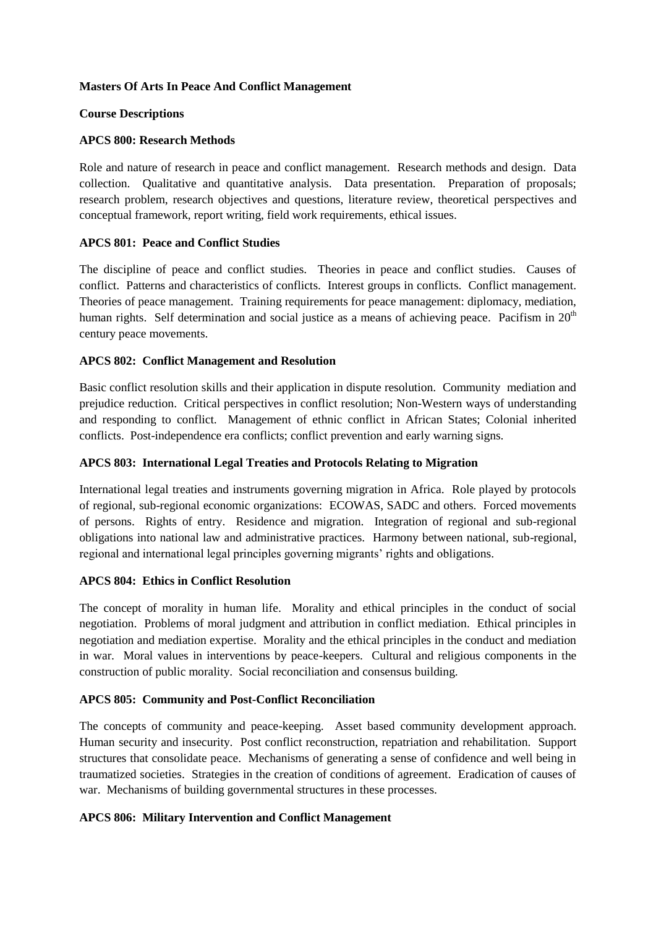## **Masters Of Arts In Peace And Conflict Management**

#### **Course Descriptions**

## **APCS 800: Research Methods**

Role and nature of research in peace and conflict management. Research methods and design. Data collection. Qualitative and quantitative analysis. Data presentation. Preparation of proposals; research problem, research objectives and questions, literature review, theoretical perspectives and conceptual framework, report writing, field work requirements, ethical issues.

## **APCS 801: Peace and Conflict Studies**

The discipline of peace and conflict studies. Theories in peace and conflict studies. Causes of conflict. Patterns and characteristics of conflicts. Interest groups in conflicts. Conflict management. Theories of peace management. Training requirements for peace management: diplomacy, mediation, human rights. Self determination and social justice as a means of achieving peace. Pacifism in 20<sup>th</sup> century peace movements.

# **APCS 802: Conflict Management and Resolution**

Basic conflict resolution skills and their application in dispute resolution. Community mediation and prejudice reduction. Critical perspectives in conflict resolution; Non-Western ways of understanding and responding to conflict. Management of ethnic conflict in African States; Colonial inherited conflicts. Post-independence era conflicts; conflict prevention and early warning signs.

## **APCS 803: International Legal Treaties and Protocols Relating to Migration**

International legal treaties and instruments governing migration in Africa. Role played by protocols of regional, sub-regional economic organizations: ECOWAS, SADC and others. Forced movements of persons. Rights of entry. Residence and migration. Integration of regional and sub-regional obligations into national law and administrative practices. Harmony between national, sub-regional, regional and international legal principles governing migrants' rights and obligations.

# **APCS 804: Ethics in Conflict Resolution**

The concept of morality in human life. Morality and ethical principles in the conduct of social negotiation. Problems of moral judgment and attribution in conflict mediation. Ethical principles in negotiation and mediation expertise. Morality and the ethical principles in the conduct and mediation in war. Moral values in interventions by peace-keepers. Cultural and religious components in the construction of public morality. Social reconciliation and consensus building.

# **APCS 805: Community and Post-Conflict Reconciliation**

The concepts of community and peace-keeping. Asset based community development approach. Human security and insecurity. Post conflict reconstruction, repatriation and rehabilitation. Support structures that consolidate peace. Mechanisms of generating a sense of confidence and well being in traumatized societies. Strategies in the creation of conditions of agreement. Eradication of causes of war. Mechanisms of building governmental structures in these processes.

#### **APCS 806: Military Intervention and Conflict Management**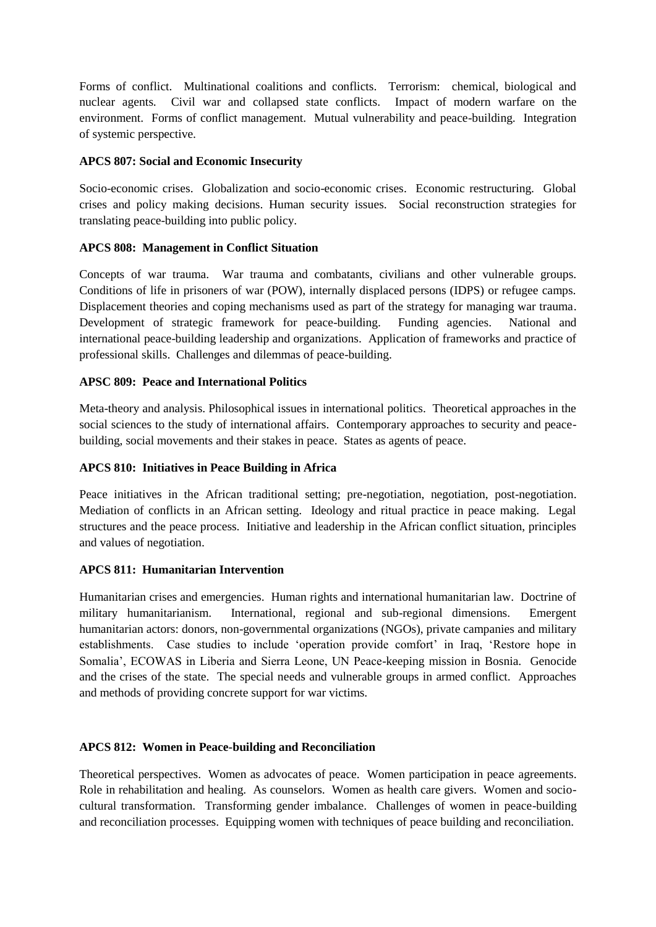Forms of conflict. Multinational coalitions and conflicts. Terrorism: chemical, biological and nuclear agents. Civil war and collapsed state conflicts. Impact of modern warfare on the environment. Forms of conflict management. Mutual vulnerability and peace-building. Integration of systemic perspective.

## **APCS 807: Social and Economic Insecurity**

Socio-economic crises. Globalization and socio-economic crises. Economic restructuring. Global crises and policy making decisions. Human security issues. Social reconstruction strategies for translating peace-building into public policy.

## **APCS 808: Management in Conflict Situation**

Concepts of war trauma. War trauma and combatants, civilians and other vulnerable groups. Conditions of life in prisoners of war (POW), internally displaced persons (IDPS) or refugee camps. Displacement theories and coping mechanisms used as part of the strategy for managing war trauma. Development of strategic framework for peace-building. Funding agencies. National and international peace-building leadership and organizations. Application of frameworks and practice of professional skills. Challenges and dilemmas of peace-building.

## **APSC 809: Peace and International Politics**

Meta-theory and analysis. Philosophical issues in international politics. Theoretical approaches in the social sciences to the study of international affairs. Contemporary approaches to security and peacebuilding, social movements and their stakes in peace. States as agents of peace.

#### **APCS 810: Initiatives in Peace Building in Africa**

Peace initiatives in the African traditional setting; pre-negotiation, negotiation, post-negotiation. Mediation of conflicts in an African setting. Ideology and ritual practice in peace making. Legal structures and the peace process. Initiative and leadership in the African conflict situation, principles and values of negotiation.

#### **APCS 811: Humanitarian Intervention**

Humanitarian crises and emergencies. Human rights and international humanitarian law. Doctrine of military humanitarianism. International, regional and sub-regional dimensions. Emergent humanitarian actors: donors, non-governmental organizations (NGOs), private campanies and military establishments. Case studies to include 'operation provide comfort' in Iraq, 'Restore hope in Somalia', ECOWAS in Liberia and Sierra Leone, UN Peace-keeping mission in Bosnia. Genocide and the crises of the state. The special needs and vulnerable groups in armed conflict. Approaches and methods of providing concrete support for war victims.

#### **APCS 812: Women in Peace-building and Reconciliation**

Theoretical perspectives. Women as advocates of peace. Women participation in peace agreements. Role in rehabilitation and healing. As counselors. Women as health care givers. Women and sociocultural transformation. Transforming gender imbalance. Challenges of women in peace-building and reconciliation processes. Equipping women with techniques of peace building and reconciliation.